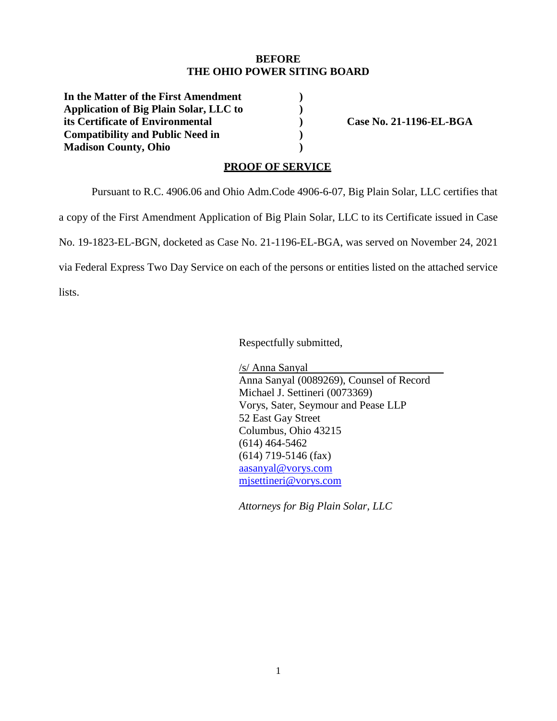### **BEFORE THE OHIO POWER SITING BOARD**

**In the Matter of the First Amendment Application of Big Plain Solar, LLC to its Certificate of Environmental Compatibility and Public Need in Madison County, Ohio** 

**Case No. 21-1196-EL-BGA** 

#### **PROOF OF SERVICE**

Pursuant to R.C. 4906.06 and Ohio Adm.Code 4906-6-07, Big Plain Solar, LLC certifies that

**) ) ) ) )** 

a copy of the First Amendment Application of Big Plain Solar, LLC to its Certificate issued in Case

No. 19-1823-EL-BGN, docketed as Case No. 21-1196-EL-BGA, was served on November 24, 2021

via Federal Express Two Day Service on each of the persons or entities listed on the attached service

lists.

Respectfully submitted,

/s/ Anna Sanyal Anna Sanyal (0089269), Counsel of Record Michael J. Settineri (0073369) Vorys, Sater, Seymour and Pease LLP 52 East Gay Street Columbus, Ohio 43215 (614) 464-5462 (614) 719-5146 (fax) aasanyal@vorys.com mjsettineri@vorys.com

*Attorneys for Big Plain Solar, LLC*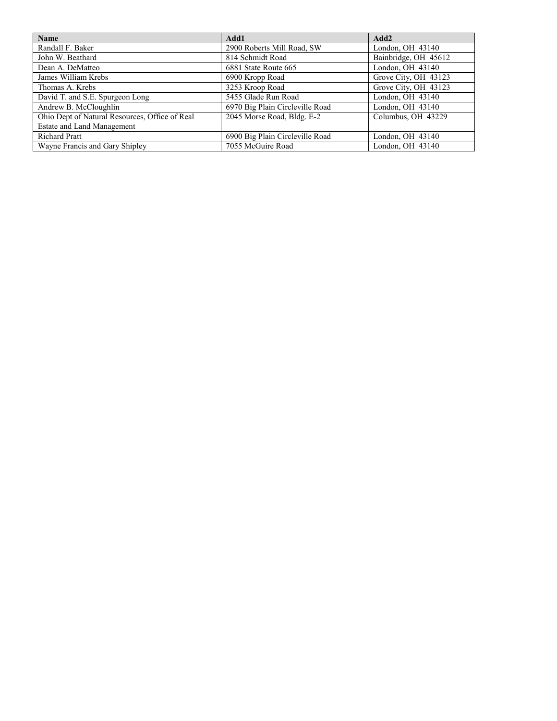| Name                                           | Add1                            | Add2                 |
|------------------------------------------------|---------------------------------|----------------------|
| Randall F. Baker                               | 2900 Roberts Mill Road, SW      | London, OH 43140     |
| John W. Beathard                               | 814 Schmidt Road                | Bainbridge, OH 45612 |
| Dean A. DeMatteo                               | 6881 State Route 665            | London, OH 43140     |
| James William Krebs                            | 6900 Kropp Road                 | Grove City, OH 43123 |
| Thomas A. Krebs                                | 3253 Kroop Road                 | Grove City, OH 43123 |
| David T. and S.E. Spurgeon Long                | 5455 Glade Run Road             | London, OH 43140     |
| Andrew B. McCloughlin                          | 6970 Big Plain Circleville Road | London, OH 43140     |
| Ohio Dept of Natural Resources, Office of Real | 2045 Morse Road, Bldg. E-2      | Columbus, OH 43229   |
| Estate and Land Management                     |                                 |                      |
| <b>Richard Pratt</b>                           | 6900 Big Plain Circleville Road | London, OH 43140     |
| Wayne Francis and Gary Shipley                 | 7055 McGuire Road               | London, OH 43140     |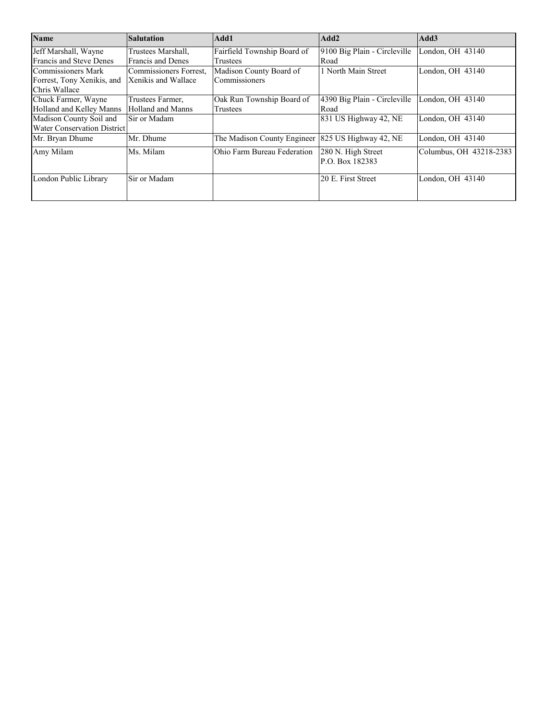| <b>Name</b>                    | <b>Salutation</b>        | Add1                        | Add2                         | Add3                    |
|--------------------------------|--------------------------|-----------------------------|------------------------------|-------------------------|
| Jeff Marshall, Wayne           | Trustees Marshall,       | Fairfield Township Board of | 9100 Big Plain - Circleville | London, OH 43140        |
| <b>Francis and Steve Denes</b> | <b>Francis and Denes</b> | Trustees                    | Road                         |                         |
| Commissioners Mark             | Commissioners Forrest,   | Madison County Board of     | 1 North Main Street          | London, OH 43140        |
| Forrest, Tony Xenikis, and     | Xenikis and Wallace      | Commissioners               |                              |                         |
| Chris Wallace                  |                          |                             |                              |                         |
| Chuck Farmer, Wayne            | Trustees Farmer,         | Oak Run Township Board of   | 4390 Big Plain - Circleville | London, OH 43140        |
| Holland and Kelley Manns       | Holland and Manns        | Trustees                    | Road                         |                         |
| Madison County Soil and        | Sir or Madam             |                             | 831 US Highway 42, NE        | London, OH 43140        |
| Water Conservation District    |                          |                             |                              |                         |
| Mr. Bryan Dhume                | Mr. Dhume                | The Madison County Engineer | 825 US Highway 42, NE        | London, OH 43140        |
| Amy Milam                      | Ms. Milam                | Ohio Farm Bureau Federation | 280 N. High Street           | Columbus, OH 43218-2383 |
|                                |                          |                             | P.O. Box 182383              |                         |
| London Public Library          | Sir or Madam             |                             | 20 E. First Street           | London, OH 43140        |
|                                |                          |                             |                              |                         |